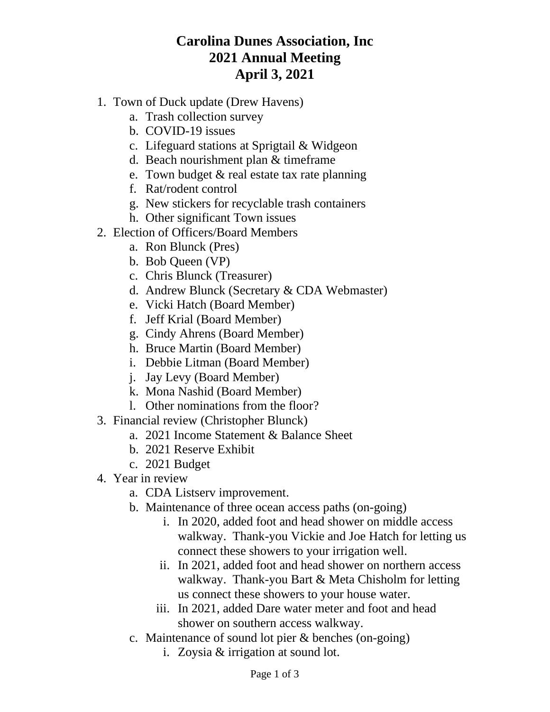## **Carolina Dunes Association, Inc 2021 Annual Meeting April 3, 2021**

- 1. Town of Duck update (Drew Havens)
	- a. Trash collection survey
	- b. COVID-19 issues
	- c. Lifeguard stations at Sprigtail & Widgeon
	- d. Beach nourishment plan & timeframe
	- e. Town budget & real estate tax rate planning
	- f. Rat/rodent control
	- g. New stickers for recyclable trash containers
	- h. Other significant Town issues
- 2. Election of Officers/Board Members
	- a. Ron Blunck (Pres)
	- b. Bob Queen (VP)
	- c. Chris Blunck (Treasurer)
	- d. Andrew Blunck (Secretary & CDA Webmaster)
	- e. Vicki Hatch (Board Member)
	- f. Jeff Krial (Board Member)
	- g. Cindy Ahrens (Board Member)
	- h. Bruce Martin (Board Member)
	- i. Debbie Litman (Board Member)
	- j. Jay Levy (Board Member)
	- k. Mona Nashid (Board Member)
	- l. Other nominations from the floor?
- 3. Financial review (Christopher Blunck)
	- a. 2021 Income Statement & Balance Sheet
	- b. 2021 Reserve Exhibit
	- c. 2021 Budget
- 4. Year in review
	- a. CDA Listserv improvement.
	- b. Maintenance of three ocean access paths (on-going)
		- i. In 2020, added foot and head shower on middle access walkway. Thank-you Vickie and Joe Hatch for letting us connect these showers to your irrigation well.
		- ii. In 2021, added foot and head shower on northern access walkway. Thank-you Bart & Meta Chisholm for letting us connect these showers to your house water.
		- iii. In 2021, added Dare water meter and foot and head shower on southern access walkway.
	- c. Maintenance of sound lot pier & benches (on-going)
		- i. Zoysia & irrigation at sound lot.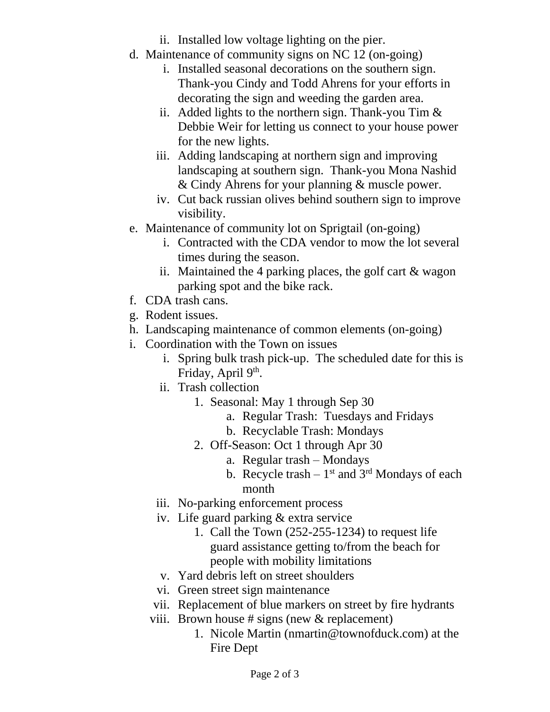- ii. Installed low voltage lighting on the pier.
- d. Maintenance of community signs on NC 12 (on-going)
	- i. Installed seasonal decorations on the southern sign. Thank-you Cindy and Todd Ahrens for your efforts in decorating the sign and weeding the garden area.
	- ii. Added lights to the northern sign. Thank-you Tim  $\&$ Debbie Weir for letting us connect to your house power for the new lights.
	- iii. Adding landscaping at northern sign and improving landscaping at southern sign. Thank-you Mona Nashid & Cindy Ahrens for your planning & muscle power.
	- iv. Cut back russian olives behind southern sign to improve visibility.
- e. Maintenance of community lot on Sprigtail (on-going)
	- i. Contracted with the CDA vendor to mow the lot several times during the season.
	- ii. Maintained the 4 parking places, the golf cart & wagon parking spot and the bike rack.
- f. CDA trash cans.
- g. Rodent issues.
- h. Landscaping maintenance of common elements (on-going)
- i. Coordination with the Town on issues
	- i. Spring bulk trash pick-up. The scheduled date for this is Friday, April 9<sup>th</sup>.
	- ii. Trash collection
		- 1. Seasonal: May 1 through Sep 30
			- a. Regular Trash: Tuesdays and Fridays
			- b. Recyclable Trash: Mondays
		- 2. Off-Season: Oct 1 through Apr 30
			- a. Regular trash Mondays
			- b. Recycle trash  $-1<sup>st</sup>$  and  $3<sup>rd</sup>$  Mondays of each month
	- iii. No-parking enforcement process
	- iv. Life guard parking & extra service
		- 1. Call the Town (252-255-1234) to request life guard assistance getting to/from the beach for people with mobility limitations
	- v. Yard debris left on street shoulders
	- vi. Green street sign maintenance
	- vii. Replacement of blue markers on street by fire hydrants
	- viii. Brown house # signs (new & replacement)
		- 1. Nicole Martin (nmartin@townofduck.com) at the Fire Dept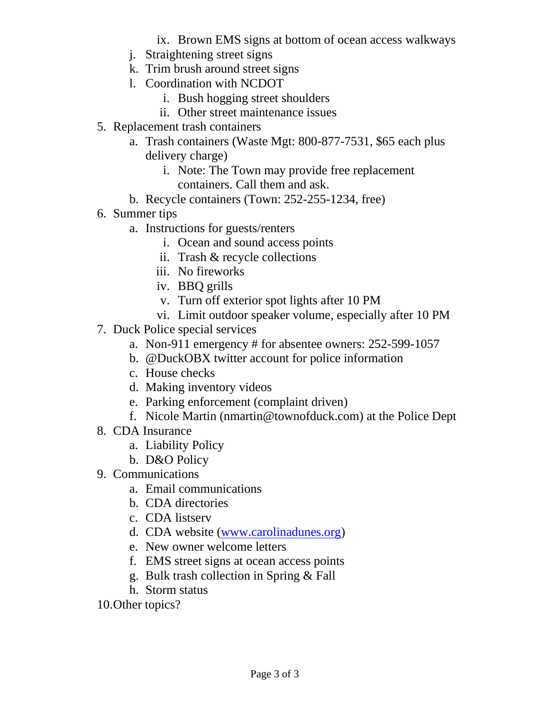ix. Brown EMS signs at bottom of ocean access walkways

- j. Straightening street signs
- k. Trim brush around street signs
- l. Coordination with NCDOT
	- i. Bush hogging street shoulders
	- ii. Other street maintenance issues
- 5. Replacement trash containers
	- a. Trash containers (Waste Mgt: 800-877-7531, \$65 each plus delivery charge)
		- i. Note: The Town may provide free replacement containers. Call them and ask.
	- b. Recycle containers (Town: 252-255-1234, free)
- 6. Summer tips
	- a. Instructions for guests/renters
		- i. Ocean and sound access points
		- ii. Trash & recycle collections
		- iii. No fireworks
		- iv. BBQ grills
		- v. Turn off exterior spot lights after 10 PM
		- vi. Limit outdoor speaker volume, especially after 10 PM
- 7. Duck Police special services
	- a. Non-911 emergency # for absentee owners: 252-599-1057
	- b. @DuckOBX twitter account for police information
	- c. House checks
	- d. Making inventory videos
	- e. Parking enforcement (complaint driven)
	- f. Nicole Martin (nmartin@townofduck.com) at the Police Dept
- 8. CDA Insurance
	- a. Liability Policy
	- b. D&O Policy
- 9. Communications
	- a. Email communications
	- b. CDA directories
	- c. CDA listserv
	- d. CDA website [\(www.carolinadunes.org\)](http://www.carolinadunes.org/)
	- e. New owner welcome letters
	- f. EMS street signs at ocean access points
	- g. Bulk trash collection in Spring & Fall
	- h. Storm status
- 10.Other topics?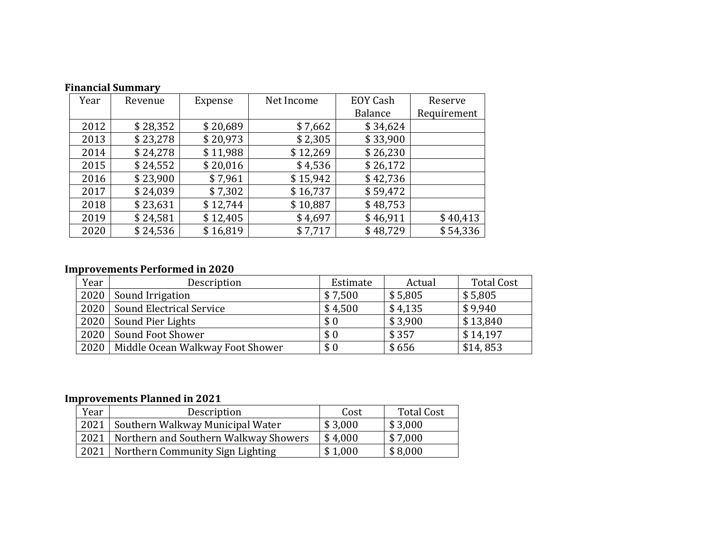| Year | Revenue  | Expense  | Net Income | <b>EOY Cash</b> | Reserve  |
|------|----------|----------|------------|-----------------|----------|
|      |          |          |            | <b>Balance</b>  |          |
| 2012 | \$28,352 | \$20,689 | \$7,662    | \$34,624        |          |
| 2013 | \$23,278 | \$20,973 | \$2,305    | \$33,900        |          |
| 2014 | \$24,278 | \$11,988 | \$12,269   | \$26,230        |          |
| 2015 | \$24,552 | \$20,016 | \$4,536    | \$26,172        |          |
| 2016 | \$23,900 | \$7,961  | \$15,942   | \$42,736        |          |
| 2017 | \$24,039 | \$7,302  | \$16,737   | \$59,472        |          |
| 2018 | \$23,631 | \$12,744 | \$10,887   | \$48,753        |          |
| 2019 | \$24,581 | \$12,405 | \$4,697    | \$46,911        | \$40,413 |
| 2020 | \$24,536 | \$16,819 | \$7,717    | \$48,729        | \$54,336 |

### **Financial Summary**

### **Improvements Performed in 2020**

| Year | Description                      | Estimate | Actual  | <b>Total Cost</b> |
|------|----------------------------------|----------|---------|-------------------|
|      | 2020   Sound Irrigation          | \$7,500  | \$5,805 | \$5,805           |
|      | 2020   Sound Electrical Service  | \$4,500  | \$4,135 | \$9,940           |
|      | 2020   Sound Pier Lights         | \$0      | \$3,900 | \$13,840          |
| 2020 | Sound Foot Shower                | \$0      | \$357   | \$14,197          |
| 2020 | Middle Ocean Walkway Foot Shower | \$0      | \$656   | \$14,853          |

## **Improvements Planned in 2021**

| Year | Description                                  | Cost    | <b>Total Cost</b> |
|------|----------------------------------------------|---------|-------------------|
| 2021 | Southern Walkway Municipal Water             | \$3,000 | \$3,000           |
|      | 2021   Northern and Southern Walkway Showers | \$4,000 | \$7,000           |
|      | 2021   Northern Community Sign Lighting      | \$1,000 | \$8,000           |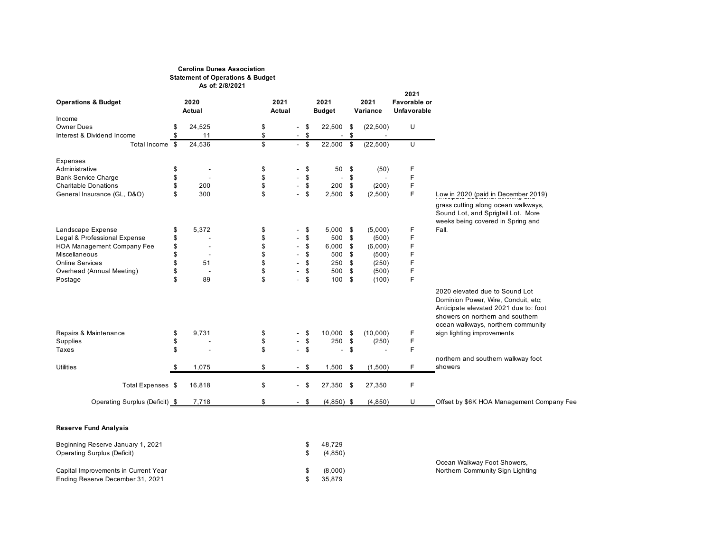#### **Carolina Dunes Association Statement of Operations & Budget As of: 2/8/2021**

|                                |             |        |                          |        |                          |      |                          | 2021                |                                                                                                                                                                                          |
|--------------------------------|-------------|--------|--------------------------|--------|--------------------------|------|--------------------------|---------------------|------------------------------------------------------------------------------------------------------------------------------------------------------------------------------------------|
| <b>Operations &amp; Budget</b> | 2020        | 2021   |                          |        | 2021                     |      | 2021                     | <b>Favorable or</b> |                                                                                                                                                                                          |
|                                | Actual      | Actual |                          |        | <b>Budget</b>            |      | Variance                 | Unfavorable         |                                                                                                                                                                                          |
| Income                         |             |        |                          |        |                          |      |                          |                     |                                                                                                                                                                                          |
| <b>Owner Dues</b>              | 24,525      | \$     |                          | \$     | 22,500                   | \$   | (22, 500)                | U                   |                                                                                                                                                                                          |
| Interest & Dividend Income     | 11          | \$     |                          | \$     | $\blacksquare$           | \$   |                          |                     |                                                                                                                                                                                          |
| Total Income \$                | 24,536      | \$     |                          | $-$ \$ | 22,500 \$                |      | (22, 500)                | U                   |                                                                                                                                                                                          |
| Expenses                       |             |        |                          |        |                          |      |                          |                     |                                                                                                                                                                                          |
| Administrative                 | \$          | \$     |                          | \$     | 50                       | \$   | (50)                     | F                   |                                                                                                                                                                                          |
| <b>Bank Service Charge</b>     | \$          | \$     |                          | \$     | $\overline{\phantom{a}}$ | \$   | $\overline{\phantom{a}}$ | F                   |                                                                                                                                                                                          |
| <b>Charitable Donations</b>    | 200         | \$     |                          | \$     | 200                      | \$   | (200)                    | F                   |                                                                                                                                                                                          |
| General Insurance (GL, D&O)    | \$<br>300   | \$     |                          | \$     | 2,500                    | \$   | (2,500)                  | F                   | Low in 2020 (paid in December 2019)<br>grass cutting along ocean walkways,<br>Sound Lot, and Sprigtail Lot. More                                                                         |
| Landscape Expense              | \$<br>5,372 | \$     |                          | \$     | 5,000                    | -\$  | (5,000)                  | F                   | weeks being covered in Spring and<br>Fall.                                                                                                                                               |
| Legal & Professional Expense   |             | \$     |                          | \$     | 500                      | \$   | (500)                    | F                   |                                                                                                                                                                                          |
| HOA Management Company Fee     | \$          | \$     |                          | \$     | 6,000                    | \$   | (6,000)                  |                     |                                                                                                                                                                                          |
| Miscellaneous                  | \$          | \$     |                          | £.     | 500                      | -\$  | (500)                    | F                   |                                                                                                                                                                                          |
| <b>Online Services</b>         | 51          | \$     |                          | \$     | 250                      | \$   | (250)                    | F                   |                                                                                                                                                                                          |
| Overhead (Annual Meeting)      | ٠           | \$     |                          | £.     | 500                      | \$   | (500)                    | F                   |                                                                                                                                                                                          |
| Postage                        | \$<br>89    | \$     |                          | S      | 100                      | \$   | (100)                    | F                   |                                                                                                                                                                                          |
|                                |             |        |                          |        |                          |      |                          |                     | 2020 elevated due to Sound Lot<br>Dominion Power, Wire, Conduit, etc;<br>Anticipate elevated 2021 due to: foot<br>showers on northern and southern<br>ocean walkways, northern community |
| Repairs & Maintenance          | \$<br>9,731 | \$     |                          | \$     | 10,000                   | - \$ | (10,000)                 | F                   | sign lighting improvements                                                                                                                                                               |
| Supplies                       | \$          | \$     |                          | \$     | 250                      | \$   | (250)                    | F                   |                                                                                                                                                                                          |
| Taxes                          | \$          | \$     |                          | \$     | ÷                        | \$   |                          | F                   |                                                                                                                                                                                          |
|                                |             |        |                          |        |                          |      |                          |                     | northern and southern walkway foot                                                                                                                                                       |
| <b>Utilities</b>               | 1,075       | \$     |                          | $-$ \$ | 1,500                    | -\$  | (1,500)                  | F                   | showers                                                                                                                                                                                  |
| Total Expenses \$              | 16,818      | \$     |                          | - \$   | 27,350                   | -\$  | 27,350                   | F                   |                                                                                                                                                                                          |
| Operating Surplus (Deficit) \$ | 7,718       | \$     | $\overline{\phantom{0}}$ | \$     | $(4,850)$ \$             |      | (4, 850)                 | U                   | Offset by \$6K HOA Management Company Fee                                                                                                                                                |

#### **Reserve Fund Analysis**

| Beginning Reserve January 1, 2021    | 48.729  |                                  |
|--------------------------------------|---------|----------------------------------|
| Operating Surplus (Deficit)          | (4.850) |                                  |
|                                      |         | Ocean Walkway Foot Showers,      |
| Capital Improvements in Current Year | (8,000) | Northern Community Sign Lighting |
| Ending Reserve December 31, 2021     | 35.879  |                                  |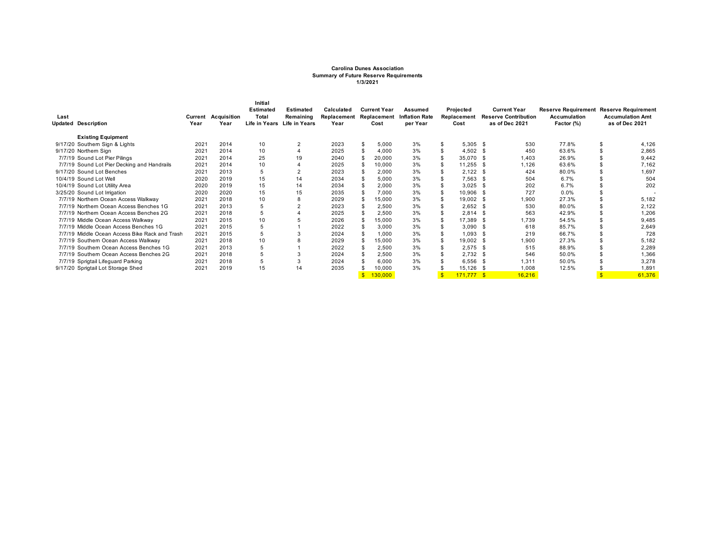#### **Carolina Dunes Association Summary of Future Reserve Requirements 1/3/2021**

|      |                                                |         |             | Initial          |                             |             |     |                     |                       |     |             |              |                             |                            |                            |
|------|------------------------------------------------|---------|-------------|------------------|-----------------------------|-------------|-----|---------------------|-----------------------|-----|-------------|--------------|-----------------------------|----------------------------|----------------------------|
|      |                                                |         |             | <b>Estimated</b> | <b>Estimated</b>            | Calculated  |     | <b>Current Year</b> | Assumed               |     | Projected   |              | <b>Current Year</b>         | <b>Reserve Requirement</b> | <b>Reserve Requirement</b> |
| Last |                                                | Current | Acquisition | Total            | Remaining                   | Replacement |     | Replacement         | <b>Inflation Rate</b> |     | Replacement |              | <b>Reserve Contribution</b> | <b>Accumulation</b>        | <b>Accumulation Amt</b>    |
|      | <b>Updated Description</b>                     | Year    | Year        |                  | Life in Years Life in Years | Year        |     | Cost                | per Year              |     | Cost        |              | as of Dec 2021              | Factor (%)                 | as of Dec 2021             |
|      | <b>Existing Equipment</b>                      |         |             |                  |                             |             |     |                     |                       |     |             |              |                             |                            |                            |
|      | 9/17/20 Southern Sign & Lights                 | 2021    | 2014        | 10               | $\overline{2}$              | 2023        | \$  | 5,000               | 3%                    | \$  | $5,305$ \$  |              | 530                         | 77.8%                      | \$<br>4,126                |
|      | 9/17/20 Northern Sign                          | 2021    | 2014        | 10               |                             | 2025        |     | 4,000               | 3%                    |     | 4,502       | - \$         | 450                         | 63.6%                      | 2,865                      |
|      | 7/7/19 Sound Lot Pier Pilings                  | 2021    | 2014        | 25               | 19                          | 2040        |     | 20,000              | 3%                    | \$  | 35,070      | - \$         | 1,403                       | 26.9%                      | 9.442                      |
|      | 7/7/19 Sound Lot Pier Decking and Handrails    | 2021    | 2014        | 10               |                             | 2025        |     | 10,000              | 3%                    | \$  | 11,255      | -S           | 1.126                       | 63.6%                      | 7,162                      |
|      | 9/17/20 Sound Lot Benches                      | 2021    | 2013        | 5                |                             | 2023        |     | 2,000               | 3%                    |     | 2,122       | - S          | 424                         | 80.0%                      | 1,697                      |
|      | 10/4/19 Sound Lot Well                         | 2020    | 2019        | 15               | 14                          | 2034        |     | 5,000               | 3%                    |     | 7,563       | - S          | 504                         | 6.7%                       | 504                        |
|      | 10/4/19 Sound Lot Utility Area                 | 2020    | 2019        | 15               | 14                          | 2034        |     | 2,000               | 3%                    |     | 3,025       | - S          | 202                         | 6.7%                       | 202                        |
|      | 3/25/20 Sound Lot Irrigation                   | 2020    | 2020        | 15               | 15                          | 2035        |     | 7,000               | 3%                    |     | 10,906      | -S           | 727                         | 0.0%                       |                            |
|      | 7/7/19 Northern Ocean Access Walkway           | 2021    | 2018        | 10               |                             | 2029        |     | 15,000              | 3%                    |     | 19,002      | - \$         | 1,900                       | 27.3%                      | 5,182                      |
|      | 7/7/19 Northern Ocean Access Benches 1G        | 2021    | 2013        |                  |                             | 2023        |     | 2,500               | 3%                    |     | 2,652       | -S           | 530                         | 80.0%                      | 2,122                      |
|      | 7/7/19 Northern Ocean Access Benches 2G        | 2021    | 2018        | 5                |                             | 2025        |     | 2,500               | 3%                    |     | 2,814       | -S           | 563                         | 42.9%                      | 1,206                      |
|      | 7/7/19 Middle Ocean Access Walkway             | 2021    | 2015        | 10               |                             | 2026        |     | 15,000              | 3%                    | \$  | 17,389      | - 95         | 1,739                       | 54.5%                      | 9,485                      |
|      | 7/7/19 Middle Ocean Access Benches 1G          | 2021    | 2015        | 5                |                             | 2022        |     | 3,000               | 3%                    | \$. | 3,090       | - S          | 618                         | 85.7%                      | 2,649                      |
|      | 7/7/19 Middle Ocean Access Bike Rack and Trash | 2021    | 2015        | 5                |                             | 2024        | \$. | 1,000               | 3%                    | \$  | 1,093       | -S           | 219                         | 66.7%                      | 728                        |
|      | 7/7/19 Southern Ocean Access Walkway           | 2021    | 2018        | 10               |                             | 2029        |     | 15,000              | 3%                    | \$. | 19,002 \$   |              | 1,900                       | 27.3%                      | 5,182                      |
|      | 7/7/19 Southern Ocean Access Benches 1G        | 2021    | 2013        | 5                |                             | 2022        |     | 2,500               | 3%                    |     | 2,575       | - S          | 515                         | 88.9%                      | 2,289                      |
|      | 7/7/19 Southern Ocean Access Benches 2G        | 2021    | 2018        | 5                |                             | 2024        |     | 2,500               | 3%                    |     | $2,732$ \$  |              | 546                         | 50.0%                      | 1,366                      |
|      | 7/7/19 Sprigtail Lifeguard Parking             | 2021    | 2018        | 5                |                             | 2024        |     | 6,000               | 3%                    |     | 6,556       | - 35         | 1.311                       | 50.0%                      | 3,278                      |
|      | 9/17/20 Sprigtail Lot Storage Shed             | 2021    | 2019        | 15               | 14                          | 2035        |     | 10,000              | 3%                    |     | 15,126      |              | 1,008                       | 12.5%                      | 1,891                      |
|      |                                                |         |             |                  |                             |             |     | 130,000             |                       |     | 171,777     | $\mathbf{s}$ | 16,216                      |                            | 61,376                     |
|      |                                                |         |             |                  |                             |             |     |                     |                       |     |             |              |                             |                            |                            |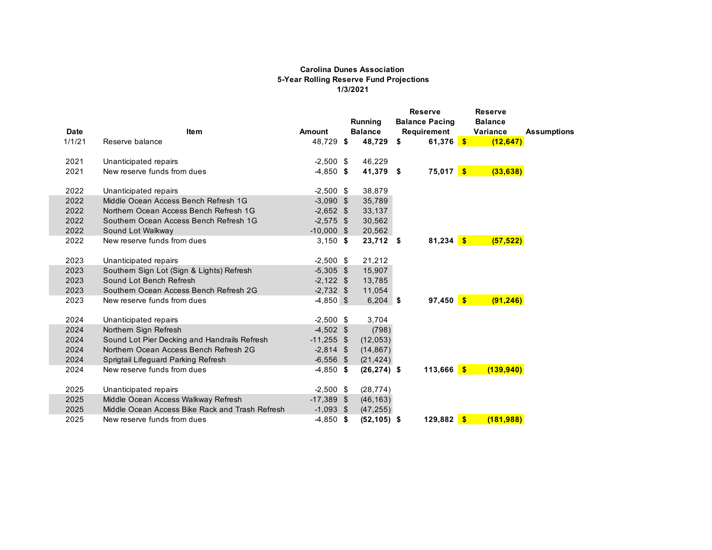#### **Carolina Dunes Association 5-Year Rolling Reserve Fund Projections 1/3/2021**

| <b>Date</b> | <b>Item</b>                                     | <b>Amount</b> | Running<br><b>Balance</b> | <b>Reserve</b><br><b>Balance Pacing</b> | <b>Reserve</b><br><b>Balance</b> |                    |
|-------------|-------------------------------------------------|---------------|---------------------------|-----------------------------------------|----------------------------------|--------------------|
| 1/1/21      | Reserve balance                                 | 48,729 \$     | 48,729                    | \$<br>Requirement<br>61,376 \$          | Variance<br>(12, 647)            | <b>Assumptions</b> |
| 2021        | Unanticipated repairs                           | $-2,500$ \$   | 46,229                    |                                         |                                  |                    |
| 2021        | New reserve funds from dues                     | $-4,850$ \$   | 41,379 \$                 | $75,017$ \$                             | (33, 638)                        |                    |
| 2022        | Unanticipated repairs                           | $-2,500$ \$   | 38,879                    |                                         |                                  |                    |
| 2022        | Middle Ocean Access Bench Refresh 1G            | $-3,090$ \$   | 35,789                    |                                         |                                  |                    |
| 2022        | Northern Ocean Access Bench Refresh 1G          | $-2,652$ \$   | 33,137                    |                                         |                                  |                    |
| 2022        | Southern Ocean Access Bench Refresh 1G          | $-2,575$ \$   | 30,562                    |                                         |                                  |                    |
| 2022        | Sound Lot Walkway                               | $-10,000$ \$  | 20,562                    |                                         |                                  |                    |
| 2022        | New reserve funds from dues                     | $3,150$ \$    | $23,712$ \$               | $81,234$ \$                             | (57, 522)                        |                    |
| 2023        | Unanticipated repairs                           | $-2,500$ \$   | 21,212                    |                                         |                                  |                    |
| 2023        | Southern Sign Lot (Sign & Lights) Refresh       | $-5,305$ \$   | 15,907                    |                                         |                                  |                    |
| 2023        | Sound Lot Bench Refresh                         | $-2,122$ \$   | 13,785                    |                                         |                                  |                    |
| 2023        | Southern Ocean Access Bench Refresh 2G          | $-2,732$ \$   | 11,054                    |                                         |                                  |                    |
| 2023        | New reserve funds from dues                     | $-4,850$ \$   | $6,204$ \$                | $97,450$ \$                             | (91, 246)                        |                    |
| 2024        | Unanticipated repairs                           | $-2,500$ \$   | 3,704                     |                                         |                                  |                    |
| 2024        | Northern Sign Refresh                           | $-4,502$ \$   | (798)                     |                                         |                                  |                    |
| 2024        | Sound Lot Pier Decking and Handrails Refresh    | $-11,255$ \$  | (12, 053)                 |                                         |                                  |                    |
| 2024        | Northern Ocean Access Bench Refresh 2G          | $-2,814$ \$   | (14, 867)                 |                                         |                                  |                    |
| 2024        | Sprigtail Lifeguard Parking Refresh             | $-6,556$ \$   | (21, 424)                 |                                         |                                  |                    |
| 2024        | New reserve funds from dues                     | $-4,850$ \$   | $(26, 274)$ \$            | $113,666$ \$                            | (139, 940)                       |                    |
| 2025        | Unanticipated repairs                           | $-2,500$ \$   | (28, 774)                 |                                         |                                  |                    |
| 2025        | Middle Ocean Access Walkway Refresh             | $-17,389$ \$  | (46, 163)                 |                                         |                                  |                    |
| 2025        | Middle Ocean Access Bike Rack and Trash Refresh | $-1,093$ \$   | (47, 255)                 |                                         |                                  |                    |
| 2025        | New reserve funds from dues                     | $-4,850$ \$   | $(52, 105)$ \$            | $129,882$ \$                            | (181.988)                        |                    |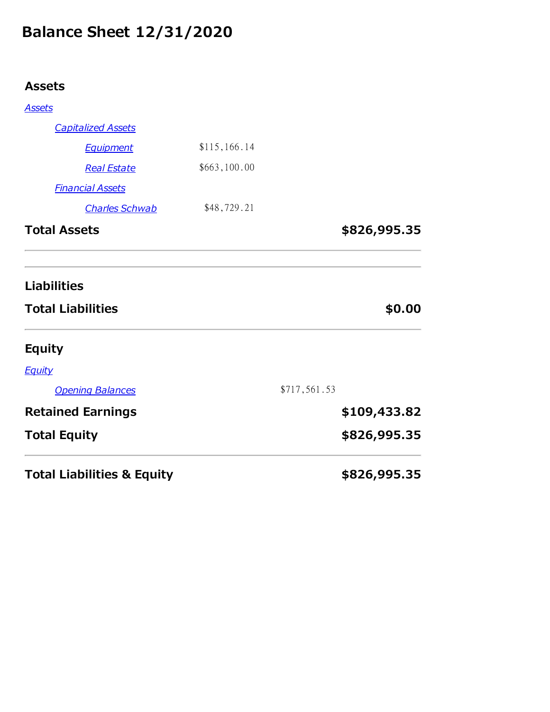# **Balance Sheet 12/31/2020**

## **Assets**

| <b>Total Liabilities &amp; Equity</b>          |                              |              | \$826,995.35 |
|------------------------------------------------|------------------------------|--------------|--------------|
| <b>Total Equity</b>                            |                              |              | \$826,995.35 |
| <b>Retained Earnings</b>                       |                              |              | \$109,433.82 |
| <b>Opening Balances</b>                        |                              | \$717,561.53 |              |
| <b>Equity</b>                                  |                              |              |              |
| <b>Equity</b>                                  |                              |              |              |
| <b>Liabilities</b><br><b>Total Liabilities</b> |                              |              | \$0.00       |
| <b>Total Assets</b>                            |                              |              | \$826,995.35 |
| <b>Charles Schwab</b>                          | \$48,729.21                  |              |              |
| <b>Real Estate</b><br><b>Financial Assets</b>  |                              |              |              |
| <b>Equipment</b>                               | \$115,166.14<br>\$663,100.00 |              |              |
| <b>Capitalized Assets</b>                      |                              |              |              |
| <b>Assets</b>                                  |                              |              |              |